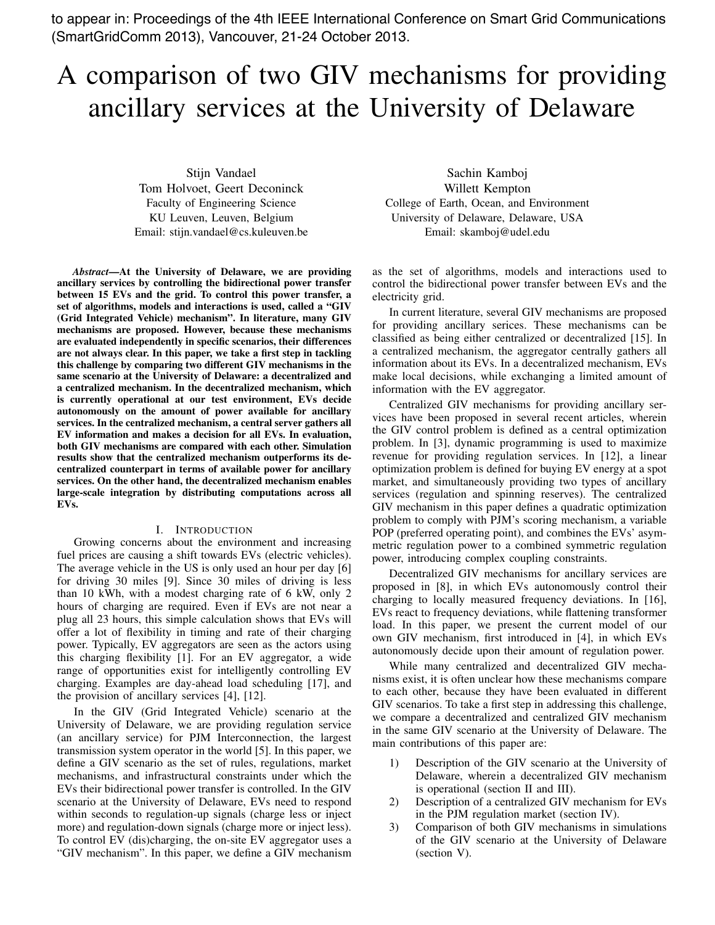to appear in: Proceedings of the 4th IEEE International Conference on Smart Grid Communications (SmartGridComm 2013), Vancouver, 21-24 October 2013.

# A comparison of two GIV mechanisms for providing ancillary services at the University of Delaware

Stijn Vandael Tom Holvoet, Geert Deconinck Faculty of Engineering Science KU Leuven, Leuven, Belgium Email: stijn.vandael@cs.kuleuven.be

*Abstract*—At the University of Delaware, we are providing ancillary services by controlling the bidirectional power transfer between 15 EVs and the grid. To control this power transfer, a set of algorithms, models and interactions is used, called a "GIV (Grid Integrated Vehicle) mechanism". In literature, many GIV mechanisms are proposed. However, because these mechanisms are evaluated independently in specific scenarios, their differences are not always clear. In this paper, we take a first step in tackling this challenge by comparing two different GIV mechanisms in the same scenario at the University of Delaware: a decentralized and a centralized mechanism. In the decentralized mechanism, which is currently operational at our test environment, EVs decide autonomously on the amount of power available for ancillary services. In the centralized mechanism, a central server gathers all EV information and makes a decision for all EVs. In evaluation, both GIV mechanisms are compared with each other. Simulation results show that the centralized mechanism outperforms its decentralized counterpart in terms of available power for ancillary services. On the other hand, the decentralized mechanism enables large-scale integration by distributing computations across all EVs.

# I. INTRODUCTION

Growing concerns about the environment and increasing fuel prices are causing a shift towards EVs (electric vehicles). The average vehicle in the US is only used an hour per day [6] for driving 30 miles [9]. Since 30 miles of driving is less than 10 kWh, with a modest charging rate of 6 kW, only 2 hours of charging are required. Even if EVs are not near a plug all 23 hours, this simple calculation shows that EVs will offer a lot of flexibility in timing and rate of their charging power. Typically, EV aggregators are seen as the actors using this charging flexibility [1]. For an EV aggregator, a wide range of opportunities exist for intelligently controlling EV charging. Examples are day-ahead load scheduling [17], and the provision of ancillary services [4], [12].

In the GIV (Grid Integrated Vehicle) scenario at the University of Delaware, we are providing regulation service (an ancillary service) for PJM Interconnection, the largest transmission system operator in the world [5]. In this paper, we define a GIV scenario as the set of rules, regulations, market mechanisms, and infrastructural constraints under which the EVs their bidirectional power transfer is controlled. In the GIV scenario at the University of Delaware, EVs need to respond within seconds to regulation-up signals (charge less or inject more) and regulation-down signals (charge more or inject less). To control EV (dis)charging, the on-site EV aggregator uses a "GIV mechanism". In this paper, we define a GIV mechanism

Sachin Kamboj Willett Kempton College of Earth, Ocean, and Environment University of Delaware, Delaware, USA Email: skamboj@udel.edu

as the set of algorithms, models and interactions used to control the bidirectional power transfer between EVs and the electricity grid.

In current literature, several GIV mechanisms are proposed for providing ancillary serices. These mechanisms can be classified as being either centralized or decentralized [15]. In a centralized mechanism, the aggregator centrally gathers all information about its EVs. In a decentralized mechanism, EVs make local decisions, while exchanging a limited amount of information with the EV aggregator.

Centralized GIV mechanisms for providing ancillary services have been proposed in several recent articles, wherein the GIV control problem is defined as a central optimization problem. In [3], dynamic programming is used to maximize revenue for providing regulation services. In [12], a linear optimization problem is defined for buying EV energy at a spot market, and simultaneously providing two types of ancillary services (regulation and spinning reserves). The centralized GIV mechanism in this paper defines a quadratic optimization problem to comply with PJM's scoring mechanism, a variable POP (preferred operating point), and combines the EVs' asymmetric regulation power to a combined symmetric regulation power, introducing complex coupling constraints.

Decentralized GIV mechanisms for ancillary services are proposed in [8], in which EVs autonomously control their charging to locally measured frequency deviations. In [16], EVs react to frequency deviations, while flattening transformer load. In this paper, we present the current model of our own GIV mechanism, first introduced in [4], in which EVs autonomously decide upon their amount of regulation power.

While many centralized and decentralized GIV mechanisms exist, it is often unclear how these mechanisms compare to each other, because they have been evaluated in different GIV scenarios. To take a first step in addressing this challenge, we compare a decentralized and centralized GIV mechanism in the same GIV scenario at the University of Delaware. The main contributions of this paper are:

- 1) Description of the GIV scenario at the University of Delaware, wherein a decentralized GIV mechanism is operational (section II and III).
- 2) Description of a centralized GIV mechanism for EVs in the PJM regulation market (section IV).
- 3) Comparison of both GIV mechanisms in simulations of the GIV scenario at the University of Delaware (section V).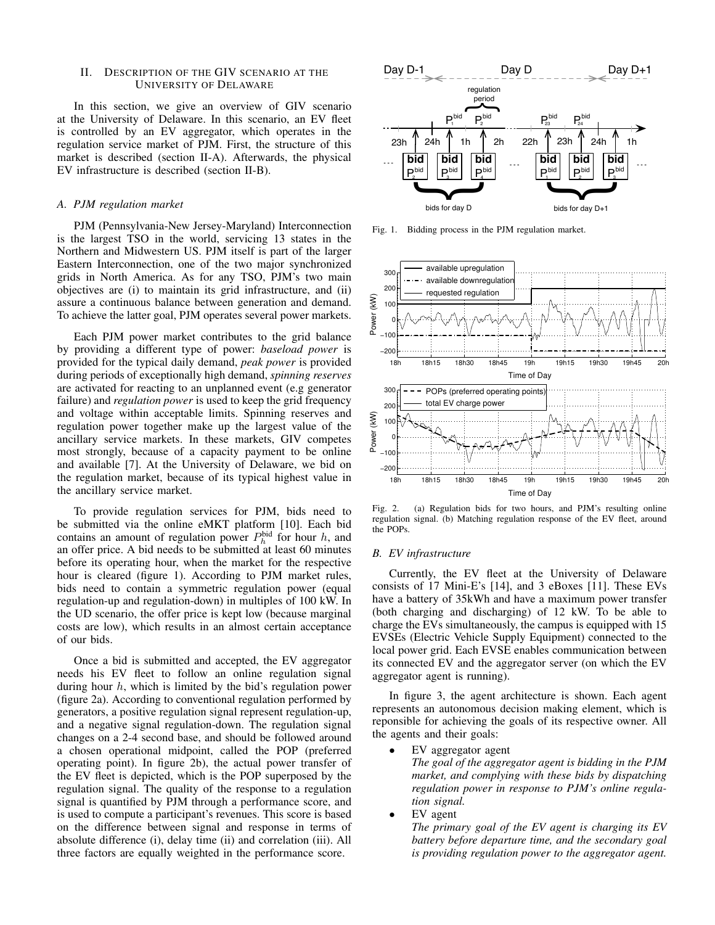# II. DESCRIPTION OF THE GIV SCENARIO AT THE UNIVERSITY OF DELAWARE

In this section, we give an overview of GIV scenario at the University of Delaware. In this scenario, an EV fleet is controlled by an EV aggregator, which operates in the regulation service market of PJM. First, the structure of this market is described (section II-A). Afterwards, the physical EV infrastructure is described (section II-B).

# *A. PJM regulation market*

PJM (Pennsylvania-New Jersey-Maryland) Interconnection is the largest TSO in the world, servicing 13 states in the Northern and Midwestern US. PJM itself is part of the larger Eastern Interconnection, one of the two major synchronized grids in North America. As for any TSO, PJM's two main objectives are (i) to maintain its grid infrastructure, and (ii) assure a continuous balance between generation and demand. To achieve the latter goal, PJM operates several power markets.

Each PJM power market contributes to the grid balance by providing a different type of power: *baseload power* is provided for the typical daily demand, *peak power* is provided during periods of exceptionally high demand, *spinning reserves* are activated for reacting to an unplanned event (e.g generator failure) and *regulation power* is used to keep the grid frequency and voltage within acceptable limits. Spinning reserves and regulation power together make up the largest value of the ancillary service markets. In these markets, GIV competes most strongly, because of a capacity payment to be online and available [7]. At the University of Delaware, we bid on the regulation market, because of its typical highest value in the ancillary service market.

To provide regulation services for PJM, bids need to be submitted via the online eMKT platform [10]. Each bid contains an amount of regulation power  $P_h^{\text{bid}}$  for hour *h*, and an offer price. A bid needs to be submitted at least 60 minutes before its operating hour, when the market for the respective hour is cleared (figure 1). According to PJM market rules, bids need to contain a symmetric regulation power (equal regulation-up and regulation-down) in multiples of 100 kW. In the UD scenario, the offer price is kept low (because marginal costs are low), which results in an almost certain acceptance of our bids.

Once a bid is submitted and accepted, the EV aggregator needs his EV fleet to follow an online regulation signal during hour *h*, which is limited by the bid's regulation power (figure 2a). According to conventional regulation performed by generators, a positive regulation signal represent regulation-up, and a negative signal regulation-down. The regulation signal changes on a 2-4 second base, and should be followed around a chosen operational midpoint, called the POP (preferred operating point). In figure 2b), the actual power transfer of the EV fleet is depicted, which is the POP superposed by the regulation signal. The quality of the response to a regulation signal is quantified by PJM through a performance score, and is used to compute a participant's revenues. This score is based on the difference between signal and response in terms of absolute difference (i), delay time (ii) and correlation (iii). All three factors are equally weighted in the performance score.



Fig. 1. Bidding process in the PJM regulation market.



Fig. 2. (a) Regulation bids for two hours, and PJM's resulting online regulation signal. (b) Matching regulation response of the EV fleet, around the POPs.

## *B. EV infrastructure*

Currently, the EV fleet at the University of Delaware consists of 17 Mini-E's [14], and 3 eBoxes [11]. These EVs have a battery of 35kWh and have a maximum power transfer (both charging and discharging) of 12 kW. To be able to charge the EVs simultaneously, the campus is equipped with 15 EVSEs (Electric Vehicle Supply Equipment) connected to the local power grid. Each EVSE enables communication between its connected EV and the aggregator server (on which the EV aggregator agent is running).

In figure 3, the agent architecture is shown. Each agent represents an autonomous decision making element, which is reponsible for achieving the goals of its respective owner. All the agents and their goals:

- *•* EV aggregator agent
	- *The goal of the aggregator agent is bidding in the PJM market, and complying with these bids by dispatching regulation power in response to PJM's online regulation signal.*
- *•* EV agent

*The primary goal of the EV agent is charging its EV battery before departure time, and the secondary goal is providing regulation power to the aggregator agent.*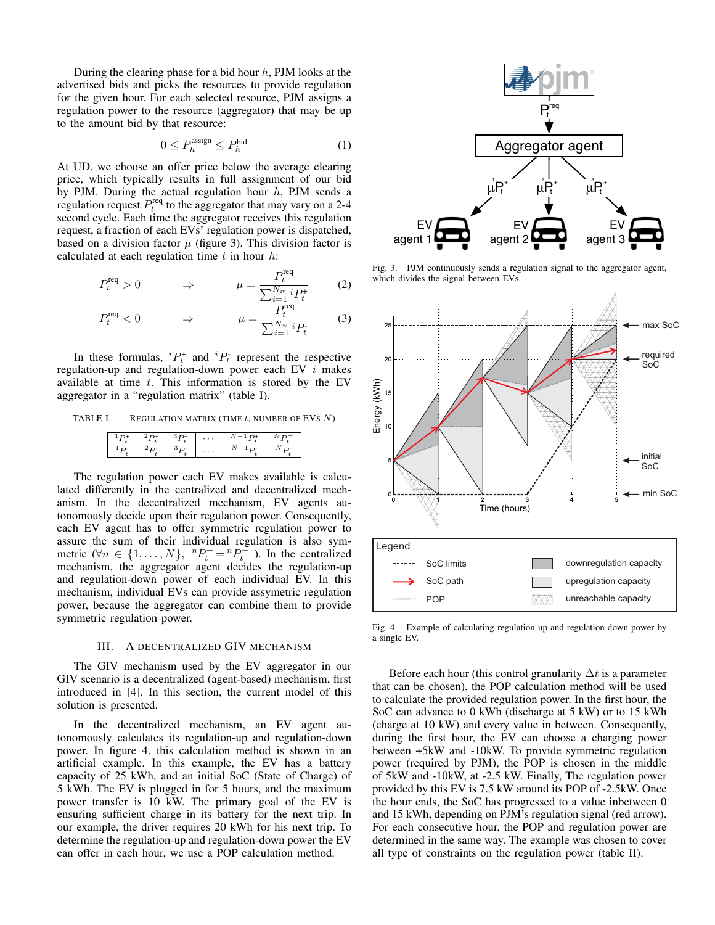During the clearing phase for a bid hour *h*, PJM looks at the advertised bids and picks the resources to provide regulation for the given hour. For each selected resource, PJM assigns a regulation power to the resource (aggregator) that may be up to the amount bid by that resource:

$$
0 \le P_h^{\text{assign}} \le P_h^{\text{bid}} \tag{1}
$$

At UD, we choose an offer price below the average clearing price, which typically results in full assignment of our bid by PJM. During the actual regulation hour *h*, PJM sends a regulation request  $P_t^{\text{req}}$  to the aggregator that may vary on a 2-4 second cycle. Each time the aggregator receives this regulation request, a fraction of each EVs' regulation power is dispatched, based on a division factor  $\mu$  (figure 3). This division factor is calculated at each regulation time *t* in hour *h*:

$$
P_t^{\text{req}} > 0 \qquad \Rightarrow \qquad \mu = \frac{P_t^{\text{req}}}{\sum_{i=1}^{N_{\text{ev}}} i P_t^+} \qquad (2)
$$

$$
P_t^{\text{req}} < 0 \qquad \Rightarrow \qquad \mu = \frac{P_t^{\text{req}}}{\sum_{i=1}^{N_{\text{ev}}} i P_t} \qquad (3)
$$

In these formulas,  ${}^{i}P_{t}^{+}$  and  ${}^{i}P_{t}^{-}$  represent the respective regulation-up and regulation-down power each EV *i* makes available at time *t*. This information is stored by the EV aggregator in a "regulation matrix" (table I).

## TABLE I. REGULATION MATRIX (TIME *t*, NUMBER OF EVS *N*)

|  | $\cdots$ |  |
|--|----------|--|
|  | $\cdots$ |  |

The regulation power each EV makes available is calculated differently in the centralized and decentralized mechanism. In the decentralized mechanism, EV agents autonomously decide upon their regulation power. Consequently, each EV agent has to offer symmetric regulation power to assure the sum of their individual regulation is also symmetric  $(\forall n \in \{1, ..., N\}, \space {}^{n}P_{t}^{+} = {}^{n}P_{t}^{-}$ ). In the centralized mechanism, the aggregator agent decides the regulation-up and regulation-down power of each individual EV. In this mechanism, individual EVs can provide assymetric regulation power, because the aggregator can combine them to provide symmetric regulation power.

## III. A DECENTRALIZED GIV MECHANISM

The GIV mechanism used by the EV aggregator in our GIV scenario is a decentralized (agent-based) mechanism, first introduced in [4]. In this section, the current model of this solution is presented.

In the decentralized mechanism, an EV agent autonomously calculates its regulation-up and regulation-down power. In figure 4, this calculation method is shown in an artificial example. In this example, the EV has a battery capacity of 25 kWh, and an initial SoC (State of Charge) of 5 kWh. The EV is plugged in for 5 hours, and the maximum power transfer is 10 kW. The primary goal of the EV is ensuring sufficient charge in its battery for the next trip. In our example, the driver requires 20 kWh for his next trip. To determine the regulation-up and regulation-down power the EV can offer in each hour, we use a POP calculation method.



Fig. 3. PJM continuously sends a regulation signal to the aggregator agent, which divides the signal between EVs.



Fig. 4. Example of calculating regulation-up and regulation-down power by a single EV.

Before each hour (this control granularity  $\Delta t$  is a parameter that can be chosen), the POP calculation method will be used to calculate the provided regulation power. In the first hour, the SoC can advance to 0 kWh (discharge at 5 kW) or to 15 kWh (charge at 10 kW) and every value in between. Consequently, during the first hour, the EV can choose a charging power between +5kW and -10kW. To provide symmetric regulation power (required by PJM), the POP is chosen in the middle of 5kW and -10kW, at -2.5 kW. Finally, The regulation power provided by this EV is 7.5 kW around its POP of -2.5kW. Once the hour ends, the SoC has progressed to a value inbetween 0 and 15 kWh, depending on PJM's regulation signal (red arrow). For each consecutive hour, the POP and regulation power are determined in the same way. The example was chosen to cover all type of constraints on the regulation power (table II).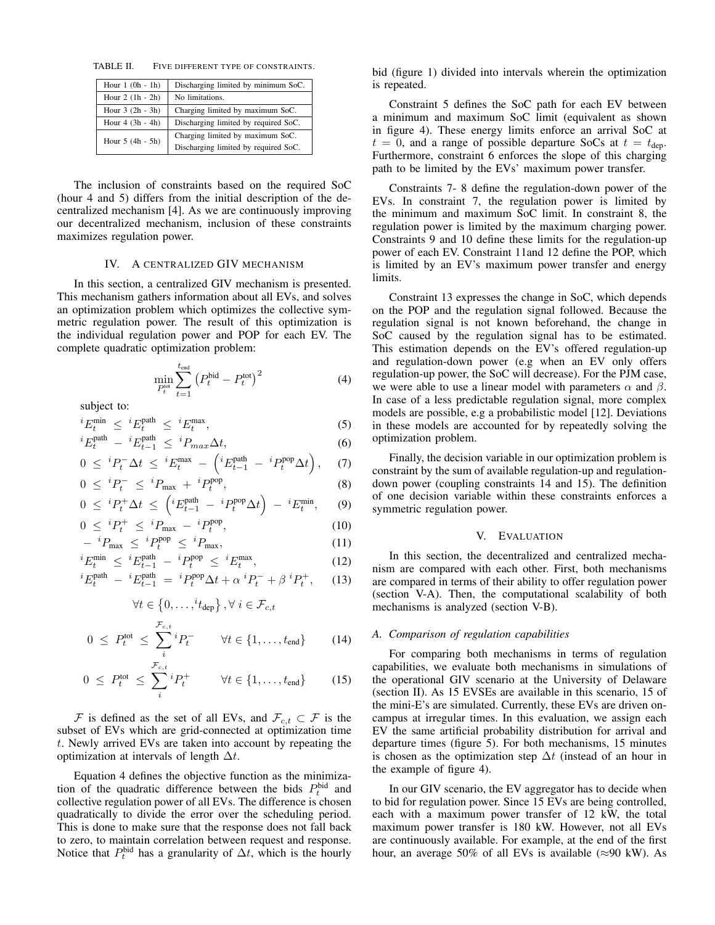TABLE II. FIVE DIFFERENT TYPE OF CONSTRAINTS.

| Hour $1(0h - 1h)$ | Discharging limited by minimum SoC.  |  |  |
|-------------------|--------------------------------------|--|--|
| Hour $2(1h - 2h)$ | No limitations.                      |  |  |
| Hour $3(2h - 3h)$ | Charging limited by maximum SoC.     |  |  |
| Hour $4(3h - 4h)$ | Discharging limited by required SoC. |  |  |
| Hour $5(4h - 5h)$ | Charging limited by maximum SoC.     |  |  |
|                   | Discharging limited by required SoC. |  |  |

The inclusion of constraints based on the required SoC (hour 4 and 5) differs from the initial description of the decentralized mechanism [4]. As we are continuously improving our decentralized mechanism, inclusion of these constraints maximizes regulation power.

## IV. A CENTRALIZED GIV MECHANISM

In this section, a centralized GIV mechanism is presented. This mechanism gathers information about all EVs, and solves an optimization problem which optimizes the collective symmetric regulation power. The result of this optimization is the individual regulation power and POP for each EV. The complete quadratic optimization problem:

$$
\min_{P_t^{\text{tot}}} \sum_{t=1}^{t_{\text{end}}} (P_t^{\text{bid}} - P_t^{\text{tot}})^2
$$
\n(4)

subject to:

$$
{}^{i}E_{t}^{\min} \leq {}^{i}E_{t}^{\text{path}} \leq {}^{i}E_{t}^{\max}, \tag{5}
$$

$$
{}^{i}E_{t}^{\text{path}} - {}^{i}E_{t-1}^{\text{path}} \leq {}^{i}P_{max}\Delta t,\tag{6}
$$

$$
0 \leq {}^{i}P_{t}^{-} \Delta t \leq {}^{i}E_{t}^{\max} - \left({}^{i}E_{t-1}^{\text{path}} - {}^{i}P_{t}^{\text{pop}}\Delta t\right), \quad (7)
$$

$$
0 \leq {}^{i}P_{t}^{-} \leq {}^{i}P_{\text{max}} + {}^{i}P_{t}^{\text{pop}},
$$
\n
$$
0 \leq {}^{i}P_{t} + \Delta_{t} \leq (i_{E}^{\text{path}} - i_{E}^{\text{pop}} \Delta_{t}) \leq i_{E}^{\text{min}} \tag{8}
$$

$$
0 \leq {}^{i}P_{t}^{+}\Delta t \leq \left({}^{i}E_{t-1}^{\text{path}} - {}^{i}P_{t}^{\text{pop}}\Delta t\right) - {}^{i}E_{t}^{\text{min}}, \qquad (9)
$$

$$
0 \leq {}^{i}P_{t}^{+} \leq {}^{i}P_{\text{max}} - {}^{i}P_{t}^{\text{pop}},
$$
  
-  ${}^{i}P_{\text{max}} \leq {}^{i}P_{t}^{\text{pop}} \leq {}^{i}P_{\text{max}},$  (10)

$$
- {}^{i}P_{\text{max}} \le {}^{i}P_{t}^{\text{pop}} \le {}^{i}P_{\text{max}},
$$
  
\n
$$
{}^{i}F_{\text{min}} < {}^{i}F_{\text{p}}^{\text{path}} - {}^{i}P_{\text{p}}^{\text{pop}} < {}^{i}F_{\text{max}}
$$
 (11)

$$
E_t^{\min} \leq {}^{i}E_{t-1}^{\text{path}} - {}^{i}P_t^{\text{pop}} \leq {}^{i}E_t^{\max}, \tag{12}
$$
\n
$$
E_t^{\text{path}} \leq {}^{i}E_t^{\text{path}} \leq {}^{i}E_t^{\max} + \frac{1}{2} \cdot E_t^{\min} \tag{13}
$$

$$
{}^{i}E_{t}^{\text{path}} - {}^{i}E_{t-1}^{\text{path}} = {}^{i}P_{t}^{\text{pop}}\Delta t + \alpha {}^{i}P_{t}^{-} + \beta {}^{i}P_{t}^{+}, \qquad (13)
$$

$$
\forall t \in \{0, \ldots, {}^{i}t_{\text{dep}}\}, \forall i \in \mathcal{F}_{c,t}
$$
  

$$
0 \le P_{t}^{\text{tot}} \le \sum_{i} {}^{i}P_{t}^{-} \qquad \forall t \in \{1, \ldots, t_{\text{end}}\}
$$
(14)

$$
0 \le P_t^{\text{tot}} \le \sum_{i}^{\mathcal{F}_{c,t}} P_t^+ \qquad \forall t \in \{1, \dots, t_{\text{end}}\} \qquad (15)
$$

*F* is defined as the set of all EVs, and  $\mathcal{F}_{c,t} \subset \mathcal{F}$  is the subset of EVs which are grid-connected at optimization time *t*. Newly arrived EVs are taken into account by repeating the optimization at intervals of length  $\Delta t$ .

Equation 4 defines the objective function as the minimization of the quadratic difference between the bids  $P_t^{\text{bid}}$  and collective regulation power of all EVs. The difference is chosen quadratically to divide the error over the scheduling period. This is done to make sure that the response does not fall back to zero, to maintain correlation between request and response. Notice that  $P_t^{\text{bid}}$  has a granularity of  $\Delta t$ , which is the hourly

bid (figure 1) divided into intervals wherein the optimization is repeated.

Constraint 5 defines the SoC path for each EV between a minimum and maximum SoC limit (equivalent as shown in figure 4). These energy limits enforce an arrival SoC at  $t = 0$ , and a range of possible departure SoCs at  $t = t_{\text{den}}$ . Furthermore, constraint 6 enforces the slope of this charging path to be limited by the EVs' maximum power transfer.

Constraints 7- 8 define the regulation-down power of the EVs. In constraint 7, the regulation power is limited by the minimum and maximum SoC limit. In constraint 8, the regulation power is limited by the maximum charging power. Constraints 9 and 10 define these limits for the regulation-up power of each EV. Constraint 11and 12 define the POP, which is limited by an EV's maximum power transfer and energy limits.

Constraint 13 expresses the change in SoC, which depends on the POP and the regulation signal followed. Because the regulation signal is not known beforehand, the change in SoC caused by the regulation signal has to be estimated. This estimation depends on the EV's offered regulation-up and regulation-down power (e.g when an EV only offers regulation-up power, the SoC will decrease). For the PJM case, we were able to use a linear model with parameters  $\alpha$  and  $\beta$ . In case of a less predictable regulation signal, more complex models are possible, e.g a probabilistic model [12]. Deviations in these models are accounted for by repeatedly solving the optimization problem.

Finally, the decision variable in our optimization problem is constraint by the sum of available regulation-up and regulationdown power (coupling constraints 14 and 15). The definition of one decision variable within these constraints enforces a symmetric regulation power.

# V. EVALUATION

In this section, the decentralized and centralized mechanism are compared with each other. First, both mechanisms are compared in terms of their ability to offer regulation power (section V-A). Then, the computational scalability of both mechanisms is analyzed (section V-B).

# *A. Comparison of regulation capabilities*

For comparing both mechanisms in terms of regulation capabilities, we evaluate both mechanisms in simulations of the operational GIV scenario at the University of Delaware (section II). As 15 EVSEs are available in this scenario, 15 of the mini-E's are simulated. Currently, these EVs are driven oncampus at irregular times. In this evaluation, we assign each EV the same artificial probability distribution for arrival and departure times (figure 5). For both mechanisms, 15 minutes is chosen as the optimization step  $\Delta t$  (instead of an hour in the example of figure 4).

In our GIV scenario, the EV aggregator has to decide when to bid for regulation power. Since 15 EVs are being controlled, each with a maximum power transfer of 12 kW, the total maximum power transfer is 180 kW. However, not all EVs are continuously available. For example, at the end of the first hour, an average 50% of all EVs is available ( $\approx$ 90 kW). As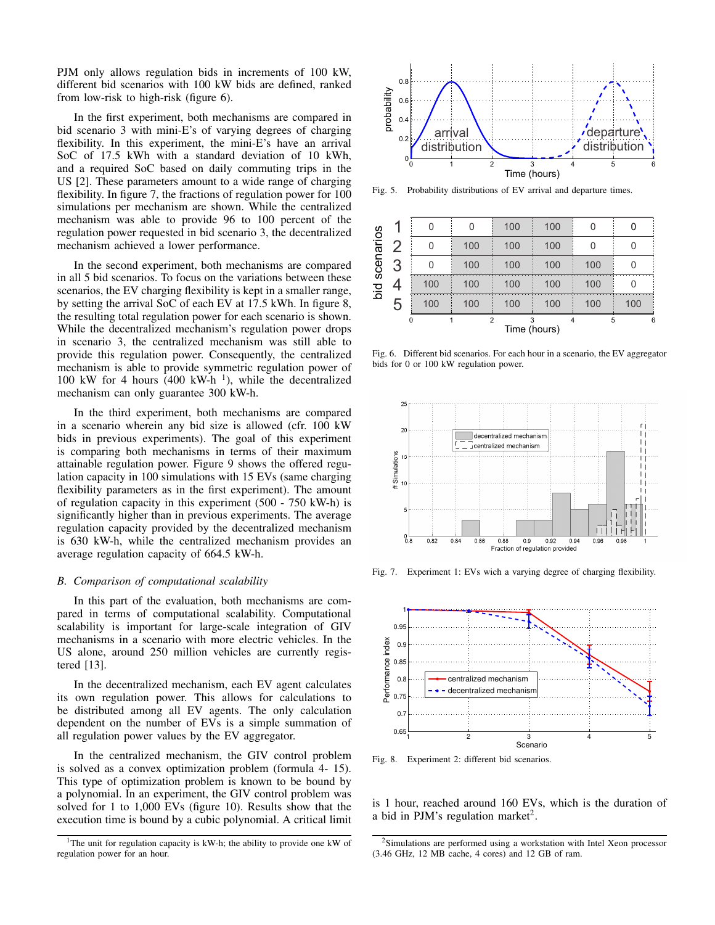PJM only allows regulation bids in increments of 100 kW, different bid scenarios with 100 kW bids are defined, ranked from low-risk to high-risk (figure 6).

In the first experiment, both mechanisms are compared in bid scenario 3 with mini-E's of varying degrees of charging flexibility. In this experiment, the mini-E's have an arrival SoC of 17.5 kWh with a standard deviation of 10 kWh, and a required SoC based on daily commuting trips in the US [2]. These parameters amount to a wide range of charging flexibility. In figure 7, the fractions of regulation power for 100 simulations per mechanism are shown. While the centralized mechanism was able to provide 96 to 100 percent of the regulation power requested in bid scenario 3, the decentralized mechanism achieved a lower performance.

In the second experiment, both mechanisms are compared in all 5 bid scenarios. To focus on the variations between these scenarios, the EV charging flexibility is kept in a smaller range, by setting the arrival SoC of each EV at 17.5 kWh. In figure 8, the resulting total regulation power for each scenario is shown. While the decentralized mechanism's regulation power drops in scenario 3, the centralized mechanism was still able to provide this regulation power. Consequently, the centralized mechanism is able to provide symmetric regulation power of 100 kW for 4 hours (400 kW-h<sup> $1$ </sup>), while the decentralized mechanism can only guarantee 300 kW-h.

In the third experiment, both mechanisms are compared in a scenario wherein any bid size is allowed (cfr. 100 kW bids in previous experiments). The goal of this experiment is comparing both mechanisms in terms of their maximum attainable regulation power. Figure 9 shows the offered regulation capacity in 100 simulations with 15 EVs (same charging flexibility parameters as in the first experiment). The amount of regulation capacity in this experiment (500 - 750 kW-h) is significantly higher than in previous experiments. The average regulation capacity provided by the decentralized mechanism is 630 kW-h, while the centralized mechanism provides an average regulation capacity of 664.5 kW-h.

## *B. Comparison of computational scalability*

In this part of the evaluation, both mechanisms are compared in terms of computational scalability. Computational scalability is important for large-scale integration of GIV mechanisms in a scenario with more electric vehicles. In the US alone, around 250 million vehicles are currently registered [13].

In the decentralized mechanism, each EV agent calculates its own regulation power. This allows for calculations to be distributed among all EV agents. The only calculation dependent on the number of EVs is a simple summation of all regulation power values by the EV aggregator.

In the centralized mechanism, the GIV control problem is solved as a convex optimization problem (formula 4- 15). This type of optimization problem is known to be bound by a polynomial. In an experiment, the GIV control problem was solved for 1 to 1,000 EVs (figure 10). Results show that the execution time is bound by a cubic polynomial. A critical limit





Fig. 5. Probability distributions of EV arrival and departure times.



Fig. 6. Different bid scenarios. For each hour in a scenario, the EV aggregator bids for 0 or 100 kW regulation power.



Fig. 7. Experiment 1: EVs wich a varying degree of charging flexibility.



Fig. 8. Experiment 2: different bid scenarios.

is 1 hour, reached around 160 EVs, which is the duration of a bid in PJM's regulation market<sup>2</sup>.

<sup>2</sup>Simulations are performed using a workstation with Intel Xeon processor (3.46 GHz, 12 MB cache, 4 cores) and 12 GB of ram.